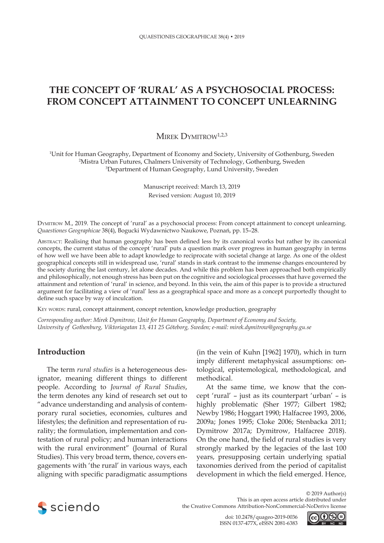# **THE CONCEPT OF 'RURAL' AS A PSYCHOSOCIAL PROCESS: FROM CONCEPT ATTAINMENT TO CONCEPT UNLEARNING**

# MIREK DYMITROW<sup>1,2,3</sup>

1 Unit for Human Geography, Department of Economy and Society, University of Gothenburg, Sweden 2 Mistra Urban Futures, Chalmers University of Technology, Gothenburg, Sweden 3 Department of Human Geography, Lund University, Sweden

> Manuscript received: March 13, 2019 Revised version: August 10, 2019

Dymitrow M., 2019. The concept of 'rural' as a psychosocial process: From concept attainment to concept unlearning. *Quaestiones Geographicae* 38(4), Bogucki Wydawnictwo Naukowe, Poznań, pp. 15–28.

Abstract: Realising that human geography has been defined less by its canonical works but rather by its canonical concepts, the current status of the concept 'rural' puts a question mark over progress in human geography in terms of how well we have been able to adapt knowledge to reciprocate with societal change at large. As one of the oldest geographical concepts still in widespread use, 'rural' stands in stark contrast to the immense changes encountered by the society during the last century, let alone decades. And while this problem has been approached both empirically and philosophically, not enough stress has been put on the cognitive and sociological processes that have governed the attainment and retention of 'rural' in science, and beyond. In this vein, the aim of this paper is to provide a structured argument for facilitating a view of 'rural' less as a geographical space and more as a concept purportedly thought to define such space by way of inculcation.

KEY WORDS: rural, concept attainment, concept retention, knowledge production, geography

*Corresponding author: Mirek Dymitrow, Unit for Human Geography, Department of Economy and Society, University of Gothenburg, Viktoriagatan 13, 411 25 Göteborg, Sweden; e-mail: mirek.dymitrow@geography.gu.se*

#### **Introduction**

The term *rural studies* is a heterogeneous designator, meaning different things to different people. According to *Journal of Rural Studies*, the term denotes any kind of research set out to "advance understanding and analysis of contemporary rural societies, economies, cultures and lifestyles; the definition and representation of rurality; the formulation, implementation and contestation of rural policy; and human interactions with the rural environment" (Journal of Rural Studies). This very broad term, thence, covers engagements with 'the rural' in various ways, each aligning with specific paradigmatic assumptions

(in the vein of Kuhn [1962] 1970), which in turn imply different metaphysical assumptions: ontological, epistemological, methodological, and methodical.

At the same time, we know that the concept 'rural' – just as its counterpart 'urban' – is highly problematic (Sher 1977; Gilbert 1982; Newby 1986; Hoggart 1990; Halfacree 1993, 2006, 2009a; Jones 1995; Cloke 2006; Stenbacka 2011; Dymitrow 2017a; Dymitrow, Halfacree 2018). On the one hand, the field of rural studies is very strongly marked by the legacies of the last 100 years, presupposing certain underlying spatial taxonomies derived from the period of capitalist development in which the field emerged. Hence,



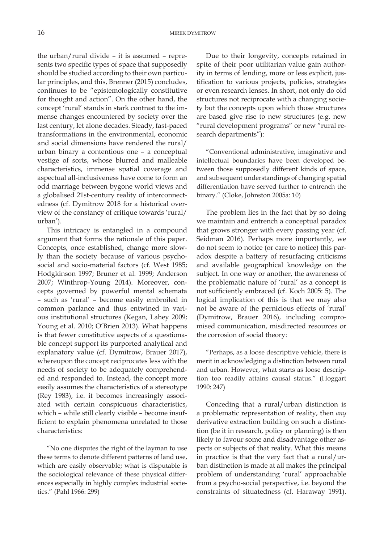the urban/rural divide – it is assumed – represents two specific types of space that supposedly should be studied according to their own particular principles, and this, Brenner (2015) concludes, continues to be "epistemologically constitutive for thought and action". On the other hand, the concept 'rural' stands in stark contrast to the immense changes encountered by society over the last century, let alone decades. Steady, fast-paced transformations in the environmental, economic and social dimensions have rendered the rural/ urban binary a contentious one – a conceptual vestige of sorts, whose blurred and malleable characteristics, immense spatial coverage and aspectual all-inclusiveness have come to form an odd marriage between bygone world views and a globalised 21st-century reality of interconnectedness (cf*.* Dymitrow 2018 for a historical overview of the constancy of critique towards 'rural/ urban').

This intricacy is entangled in a compound argument that forms the rationale of this paper. Concepts, once established, change more slowly than the society because of various psychosocial and socio-material factors (cf. West 1985; Hodgkinson 1997; Bruner et al. 1999; Anderson 2007; Winthrop-Young 2014). Moreover, concepts governed by powerful mental schemata – such as 'rural' – become easily embroiled in common parlance and thus entwined in various institutional structures (Kegan, Lahey 2009; Young et al. 2010; O'Brien 2013). What happens is that fewer constitutive aspects of a questionable concept support its purported analytical and explanatory value (cf. Dymitrow, Brauer 2017), whereupon the concept reciprocates less with the needs of society to be adequately comprehended and responded to. Instead, the concept more easily assumes the characteristics of a stereotype (Rey 1983), i.e. it becomes increasingly associated with certain conspicuous characteristics, which – while still clearly visible – become insufficient to explain phenomena unrelated to those characteristics:

"No one disputes the right of the layman to use these terms to denote different patterns of land use, which are easily observable; what is disputable is the sociological relevance of these physical differences especially in highly complex industrial societies." (Pahl 1966: 299)

Due to their longevity, concepts retained in spite of their poor utilitarian value gain authority in terms of lending, more or less explicit, justification to various projects, policies, strategies or even research lenses. In short, not only do old structures not reciprocate with a changing society but the concepts upon which those structures are based give rise to new structures (e.g. new "rural development programs" or new "rural research departments"):

"Conventional administrative, imaginative and intellectual boundaries have been developed between those supposedly different kinds of space, and subsequent understandings of changing spatial differentiation have served further to entrench the binary." (Cloke, Johnston 2005a: 10)

The problem lies in the fact that by so doing we maintain and entrench a conceptual paradox that grows stronger with every passing year (cf. Seidman 2016). Perhaps more importantly, we do not seem to notice (or care to notice) this paradox despite a battery of resurfacing criticisms and available geographical knowledge on the subject. In one way or another, the awareness of the problematic nature of 'rural' as a concept is not sufficiently embraced (cf. Koch 2005: 5). The logical implication of this is that we may also not be aware of the pernicious effects of 'rural' (Dymitrow, Brauer 2016), including compromised communication, misdirected resources or the corrosion of social theory:

"Perhaps, as a loose descriptive vehicle, there is merit in acknowledging a distinction between rural and urban. However, what starts as loose description too readily attains causal status." (Hoggart 1990: 247)

Conceding that a rural/urban distinction is a problematic representation of reality, then *any* derivative extraction building on such a distinction (be it in research, policy or planning) is then likely to favour some and disadvantage other aspects or subjects of that reality. What this means in practice is that the very fact that a rural/urban distinction is made at all makes the principal problem of understanding 'rural' approachable from a psycho-social perspective, i.e. beyond the constraints of situatedness (cf. Haraway 1991).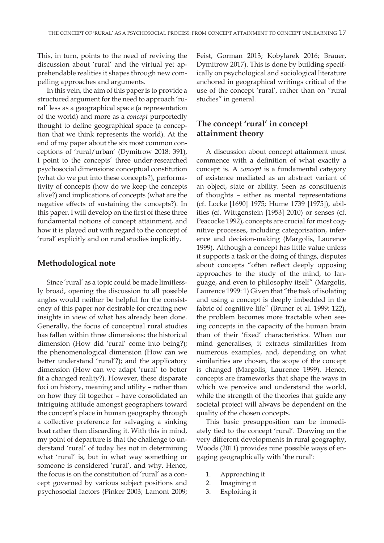This, in turn, points to the need of reviving the discussion about 'rural' and the virtual yet apprehendable realities it shapes through new compelling approaches and arguments.

In this vein, the aim of this paper is to provide a structured argument for the need to approach 'rural' less as a geographical space (a representation of the world) and more as a *concept* purportedly thought to define geographical space (a conception that we think represents the world). At the end of my paper about the six most common conceptions of 'rural/urban' (Dymitrow 2018: 391), I point to the concepts' three under-researched psychosocial dimensions: conceptual constitution (what do we put into these concepts?), performativity of concepts (how do we keep the concepts alive?) and implications of concepts (what are the negative effects of sustaining the concepts?). In this paper, I will develop on the first of these three fundamental notions of concept attainment, and how it is played out with regard to the concept of 'rural' explicitly and on rural studies implicitly.

## **Methodological note**

Since 'rural' as a topic could be made limitlessly broad, opening the discussion to all possible angles would neither be helpful for the consistency of this paper nor desirable for creating new insights in view of what has already been done. Generally, the focus of conceptual rural studies has fallen within three dimensions: the historical dimension (How did 'rural' come into being?); the phenomenological dimension (How can we better understand 'rural'?); and the applicatory dimension (How can we adapt 'rural' to better fit a changed reality?). However, these disparate foci on history, meaning and utility – rather than on how they fit together – have consolidated an intriguing attitude amongst geographers toward the concept's place in human geography through a collective preference for salvaging a sinking boat rather than discarding it. With this in mind, my point of departure is that the challenge to understand 'rural' of today lies not in determining what 'rural' is, but in what way something or someone is considered 'rural', and why. Hence, the focus is on the constitution of 'rural' as a concept governed by various subject positions and psychosocial factors (Pinker 2003; Lamont 2009;

Feist, Gorman 2013; Kobylarek 2016; Brauer, Dymitrow 2017). This is done by building specifically on psychological and sociological literature anchored in geographical writings critical of the use of the concept 'rural', rather than on "rural studies" in general.

# **The concept 'rural' in concept attainment theory**

A discussion about concept attainment must commence with a definition of what exactly a concept is. A *concept* is a fundamental category of existence mediated as an abstract variant of an object, state or ability. Seen as constituents of thoughts – either as mental representations (cf. Locke [1690] 1975; Hume 1739 [1975]), abilities (cf. Wittgenstein [1953] 2010) or senses (cf. Peacocke 1992), concepts are crucial for most cognitive processes, including categorisation, inference and decision-making (Margolis, Laurence 1999). Although a concept has little value unless it supports a task or the doing of things, disputes about concepts "often reflect deeply opposing approaches to the study of the mind, to language, and even to philosophy itself" (Margolis, Laurence 1999: 1) Given that "the task of isolating and using a concept is deeply imbedded in the fabric of cognitive life" (Bruner et al. 1999: 122), the problem becomes more tractable when seeing concepts in the capacity of the human brain than of their 'fixed' characteristics. When our mind generalises, it extracts similarities from numerous examples, and, depending on what similarities are chosen, the scope of the concept is changed (Margolis, Laurence 1999). Hence, concepts are frameworks that shape the ways in which we perceive and understand the world, while the strength of the theories that guide any societal project will always be dependent on the quality of the chosen concepts.

This basic presupposition can be immediately tied to the concept 'rural'. Drawing on the very different developments in rural geography, Woods (2011) provides nine possible ways of engaging geographically with 'the rural':

- 1. Approaching it
- 2. Imagining it
- 3. Exploiting it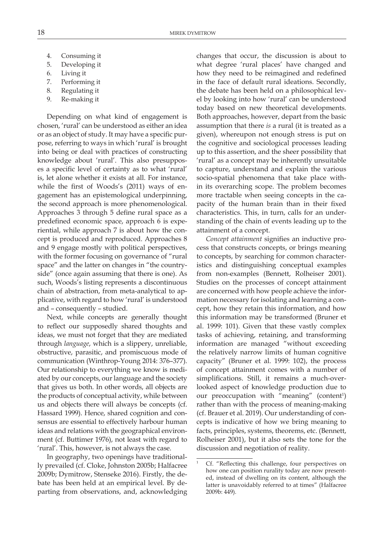- 4. Consuming it
- 5. Developing it
- 6. Living it
- 7. Performing it
- 8. Regulating it
- 9. Re-making it

Depending on what kind of engagement is chosen, 'rural' can be understood as either an idea or as an object of study. It may have a specific purpose, referring to ways in which 'rural' is brought into being or deal with practices of constructing knowledge about 'rural'. This also presupposes a specific level of certainty as to what 'rural' is, let alone whether it exists at all. For instance, while the first of Woods's (2011) ways of engagement has an epistemological underpinning, the second approach is more phenomenological. Approaches 3 through 5 define rural space as a predefined economic space, approach 6 is experiential, while approach 7 is about how the concept is produced and reproduced. Approaches 8 and 9 engage mostly with political perspectives, with the former focusing on governance of "rural" space" and the latter on changes in "the countryside" (once again assuming that there is one). As such, Woods's listing represents a discontinuous chain of abstraction, from meta-analytical to applicative, with regard to how 'rural' is understood and – consequently – studied.

Next, while concepts are generally thought to reflect our supposedly shared thoughts and ideas, we must not forget that they are mediated through *language*, which is a slippery, unreliable, obstructive, parasitic, and promiscuous mode of communication (Winthrop-Young 2014: 376–377). Our relationship to everything we know is mediated by our concepts, our language and the society that gives us both. In other words, all objects are the products of conceptual activity, while between us and objects there will always be concepts (cf. Hassard 1999). Hence, shared cognition and consensus are essential to effectively harbour human ideas and relations with the geographical environment (cf. Buttimer 1976), not least with regard to 'rural'. This, however, is not always the case.

In geography, two openings have traditionally prevailed (cf. Cloke, Johnston 2005b; Halfacree 2009b; Dymitrow, Stenseke 2016). Firstly, the debate has been held at an empirical level. By departing from observations, and, acknowledging changes that occur, the discussion is about to what degree 'rural places' have changed and how they need to be reimagined and redefined in the face of default rural ideations. Secondly, the debate has been held on a philosophical level by looking into how 'rural' can be understood today based on new theoretical developments. Both approaches, however, depart from the basic assumption that there *is* a rural (it is treated as a given), whereupon not enough stress is put on the cognitive and sociological processes leading up to this assertion, and the sheer possibility that 'rural' as a concept may be inherently unsuitable to capture, understand and explain the various socio-spatial phenomena that take place within its overarching scope. The problem becomes more tractable when seeing concepts in the capacity of the human brain than in their fixed characteristics. This, in turn, calls for an understanding of the chain of events leading up to the attainment of a concept.

*Concept attainment* signifies an inductive process that constructs concepts, or brings meaning to concepts, by searching for common characteristics and distinguishing conceptual examples from non-examples (Bennett, Rolheiser 2001). Studies on the processes of concept attainment are concerned with how people achieve the information necessary for isolating and learning a concept, how they retain this information, and how this information may be transformed (Bruner et al. 1999: 101). Given that these vastly complex tasks of achieving, retaining, and transforming information are managed "without exceeding the relatively narrow limits of human cognitive capacity" (Bruner et al. 1999: 102), the process of concept attainment comes with a number of simplifications. Still, it remains a much-overlooked aspect of knowledge production due to our preoccupation with "meaning" (content<sup>1</sup>) rather than with the process of meaning-making (cf. Brauer et al. 2019). Our understanding of concepts is indicative of how we bring meaning to facts, principles, systems, theorems, etc. (Bennett, Rolheiser 2001), but it also sets the tone for the discussion and negotiation of reality.

Cf. "Reflecting this challenge, four perspectives on how one can position rurality today are now presented, instead of dwelling on its content, although the latter is unavoidably referred to at times" (Halfacree 2009b: 449).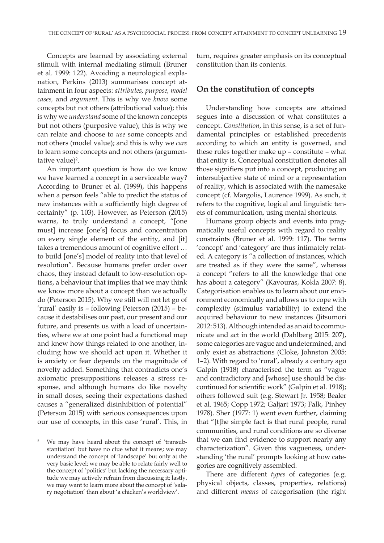Concepts are learned by associating external stimuli with internal mediating stimuli (Bruner et al. 1999: 122). Avoiding a neurological explanation, Perkins (2013) summarises concept attainment in four aspects: *attributes, purpose, model cases,* and *argument*. This is why we *know* some concepts but not others (attributional value); this is why we *understand* some of the known concepts but not others (purposive value); this is why we can relate and choose to *use* some concepts and not others (model value); and this is why we *care*  to learn some concepts and not others (argumentative value)<sup>2</sup>.

An important question is how do we know we have learned a concept in a serviceable way? According to Bruner et al. (1999), this happens when a person feels "able to predict the status of new instances with a sufficiently high degree of certainty" (p. 103). However, as Peterson (2015) warns, to truly understand a concept, "[one must] increase [one's] focus and concentration on every single element of the entity, and [it] takes a tremendous amount of cognitive effort … to build [one's] model of reality into that level of resolution". Because humans prefer order over chaos, they instead default to low-resolution options, a behaviour that implies that we may think we know more about a concept than we actually do (Peterson 2015). Why we still will not let go of 'rural' easily is – following Peterson (2015) – because it destabilises our past, our present and our future, and presents us with a load of uncertainties, where we at one point had a functional map and knew how things related to one another, including how we should act upon it. Whether it is anxiety or fear depends on the magnitude of novelty added. Something that contradicts one's axiomatic presuppositions releases a stress response, and although humans do like novelty in small doses, seeing their expectations dashed causes a "generalized disinhibition of potential" (Peterson 2015) with serious consequences upon our use of concepts, in this case 'rural'. This, in

turn, requires greater emphasis on its conceptual constitution than its contents.

#### **On the constitution of concepts**

Understanding how concepts are attained segues into a discussion of what constitutes a concept. *Constitution*, in this sense, is a set of fundamental principles or established precedents according to which an entity is governed, and these rules together make up – constitute – what that entity is. Conceptual constitution denotes all those signifiers put into a concept, producing an intersubjective state of mind or a representation of reality, which is associated with the namesake concept (cf. Margolis, Laurence 1999). As such, it refers to the cognitive, logical and linguistic tenets of communication, using mental shortcuts.

Humans group objects and events into pragmatically useful concepts with regard to reality constraints (Bruner et al. 1999: 117). The terms 'concept' and 'category' are thus intimately related. A category is "a collection of instances, which are treated as if they were the same", whereas a concept "refers to all the knowledge that one has about a category" (Kavouras, Kokla 2007: 8). Categorisation enables us to learn about our environment economically and allows us to cope with complexity (stimulus variability) to extend the acquired behaviour to new instances (Jitsumori 2012: 513). Although intended as an aid to communicate and act in the world (Dahlberg 2015: 207), some categories are vague and undetermined, and only exist as abstractions (Cloke, Johnston 2005: 1–2). With regard to 'rural', already a century ago Galpin (1918) characterised the term as "vague and contradictory and [whose] use should be discontinued for scientific work" (Galpin et al. 1918); others followed suit (e.g. Stewart Jr. 1958; Bealer et al. 1965; Copp 1972; Galjart 1973; Falk, Pinhey 1978). Sher (1977: 1) went even further, claiming that "[t]he simple fact is that rural people, rural communities, and rural conditions are so diverse that we can find evidence to support nearly any characterization". Given this vagueness, understanding 'the rural' prompts looking at how categories are cognitively assembled.

There are different *types* of categories (e.g. physical objects, classes, properties, relations) and different *means* of categorisation (the right

<sup>2</sup> We may have heard about the concept of 'transubstantiation' but have no clue what it means; we may understand the concept of 'landscape' but only at the very basic level; we may be able to relate fairly well to the concept of 'politics' but lacking the necessary aptitude we may actively refrain from discussing it; lastly, we may want to learn more about the concept of 'salary negotiation' than about 'a chicken's worldview'.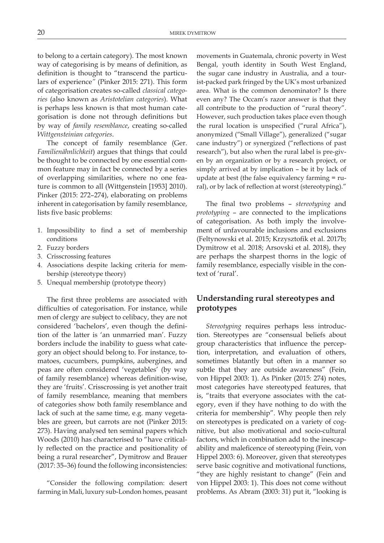to belong to a certain category). The most known way of categorising is by means of definition, as definition is thought to "transcend the particulars of experience*"* (Pinker 2015: 271). This form of categorisation creates so-called *classical categories* (also known as *Aristotelian categories*). What is perhaps less known is that most human categorisation is done not through definitions but by way of *family resemblance*, creating so-called *Wittgensteinian categories*.

The concept of family resemblance (Ger. *Familienähnlichkeit*) argues that things that could be thought to be connected by one essential common feature may in fact be connected by a series of overlapping similarities, where no one feature is common to all (Wittgenstein [1953] 2010). Pinker (2015: 272–274), elaborating on problems inherent in categorisation by family resemblance, lists five basic problems:

- 1. Impossibility to find a set of membership conditions
- 2. Fuzzy borders
- 3. Crisscrossing features
- 4. Associations despite lacking criteria for membership (stereotype theory)
- 5. Unequal membership (prototype theory)

The first three problems are associated with difficulties of categorisation. For instance, while men of clergy are subject to celibacy, they are not considered 'bachelors', even though the definition of the latter is 'an unmarried man'. Fuzzy borders include the inability to guess what category an object should belong to. For instance, tomatoes, cucumbers, pumpkins, aubergines, and peas are often considered 'vegetables' (by way of family resemblance) whereas definition-wise, they are 'fruits'. Crisscrossing is yet another trait of family resemblance, meaning that members of categories show both family resemblance and lack of such at the same time, e.g. many vegetables are green, but carrots are not (Pinker 2015: 273). Having analysed ten seminal papers which Woods (2010) has characterised to "have critically reflected on the practice and positionality of being a rural researcher", Dymitrow and Brauer (2017: 35–36) found the following inconsistencies:

"Consider the following compilation: desert farming in Mali, luxury sub-London homes, peasant

movements in Guatemala, chronic poverty in West Bengal, youth identity in South West England, the sugar cane industry in Australia, and a tourist-packed park fringed by the UK's most urbanized area. What is the common denominator? Is there even any? The Occam's razor answer is that they all contribute to the production of "rural theory". However, such production takes place even though the rural location is unspecified ("rural Africa"), anonymized ("Small Village"), generalized ("sugar cane industry") or synergized ("reflections of past research"), but also when the rural label is pre-given by an organization or by a research project, or simply arrived at by implication – be it by lack of update at best (the false equivalency farming = rural), or by lack of reflection at worst (stereotyping)."

The final two problems – *stereotyping* and *prototyping* – are connected to the implications of categorisation. As both imply the involvement of unfavourable inclusions and exclusions (Feltynowski et al. 2015; Krzysztofik et al. 2017b; Dymitrow et al. 2018; Arsovski et al. 2018), they are perhaps the sharpest thorns in the logic of family resemblance, especially visible in the context of 'rural'.

# **Understanding rural stereotypes and prototypes**

*Stereotyping* requires perhaps less introduction. Stereotypes are "consensual beliefs about group characteristics that influence the perception, interpretation, and evaluation of others, sometimes blatantly but often in a manner so subtle that they are outside awareness" (Fein, von Hippel 2003: 1). As Pinker (2015: 274) notes, most categories have stereotyped features, that is, "traits that everyone associates with the category, even if they have nothing to do with the criteria for membership". Why people then rely on stereotypes is predicated on a variety of cognitive, but also motivational and socio-cultural factors, which in combination add to the inescapability and maleficence of stereotyping (Fein, von Hippel 2003: 6). Moreover, given that stereotypes serve basic cognitive and motivational functions, "they are highly resistant to change" (Fein and von Hippel 2003: 1). This does not come without problems. As Abram (2003: 31) put it, "looking is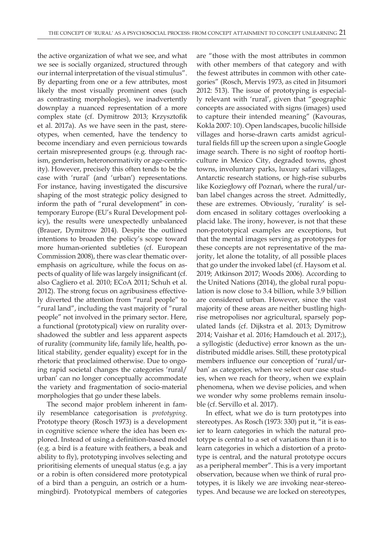the active organization of what we see, and what we see is socially organized, structured through our internal interpretation of the visual stimulus". By departing from one or a few attributes, most likely the most visually prominent ones (such as contrasting morphologies), we inadvertently downplay a nuanced representation of a more complex state (cf. Dymitrow 2013; Krzysztofik et al. 2017a). As we have seen in the past, stereotypes, when cemented, have the tendency to become incendiary and even pernicious towards certain misrepresented groups (e.g. through racism, genderism, heteronormativity or age-centricity). However, precisely this often tends to be the case with 'rural' (and 'urban') representations. For instance, having investigated the discursive shaping of the most strategic policy designed to inform the path of "rural development" in contemporary Europe (EU's Rural Development policy), the results were unexpectedly unbalanced (Brauer, Dymitrow 2014). Despite the outlined intentions to broaden the policy's scope toward more human-oriented subtleties (cf. European Commission 2008), there was clear thematic overemphasis on agriculture, while the focus on aspects of quality of life was largely insignificant (cf. also Cagliero et al. 2010; ECoA 2011; Schuh et al. 2012). The strong focus on agribusiness effectively diverted the attention from "rural people" to "rural land", including the vast majority of "rural people" not involved in the primary sector. Here, a functional (prototypical) view on rurality overshadowed the subtler and less apparent aspects of rurality (community life, family life, health, political stability, gender equality) except for in the rhetoric that proclaimed otherwise. Due to ongoing rapid societal changes the categories 'rural/ urban' can no longer conceptually accommodate the variety and fragmentation of socio-material morphologies that go under these labels.

The second major problem inherent in family resemblance categorisation is *prototyping*. Prototype theory (Rosch 1973) is a development in cognitive science where the idea has been explored. Instead of using a definition-based model (e.g. a bird is a feature with feathers, a beak and ability to fly), prototyping involves selecting and prioritising elements of unequal status (e.g. a jay or a robin is often considered more prototypical of a bird than a penguin, an ostrich or a hummingbird). Prototypical members of categories

are "those with the most attributes in common with other members of that category and with the fewest attributes in common with other categories" (Rosch, Mervis 1973, as cited in Jitsumori 2012: 513). The issue of prototyping is especially relevant with 'rural', given that "geographic concepts are associated with signs (images) used to capture their intended meaning" (Kavouras, Kokla 2007: 10). Open landscapes, bucolic hillside villages and horse-drawn carts amidst agricultural fields fill up the screen upon a single Google image search. There is no sight of rooftop horticulture in Mexico City, degraded towns, ghost towns, involuntary parks, luxury safari villages, Antarctic research stations, or high-rise suburbs like Koziegłowy off Poznań, where the rural/urban label changes across the street. Admittedly, these are extremes. Obviously, 'rurality' is seldom encased in solitary cottages overlooking a placid lake. The irony, however, is not that these non-prototypical examples are exceptions, but that the mental images serving as prototypes for these concepts are not representative of the majority, let alone the totality, of all possible places that go under the invoked label (cf. Haysom et al. 2019; Atkinson 2017; Woods 2006). According to the United Nations (2014), the global rural population is now close to 3.4 billion, while 3.9 billion are considered urban. However, since the vast majority of these areas are neither bustling highrise metropolises nor agricultural, sparsely populated lands (cf. Dijkstra et al. 2013; Dymitrow 2014; Vaishar et al. 2016; Hamdouch et al. 2017;), a syllogistic (deductive) error known as the undistributed middle arises. Still, these prototypical members influence our conception of 'rural/urban' as categories, when we select our case studies, when we reach for theory, when we explain phenomena, when we devise policies, and when we wonder why some problems remain insoluble (cf. Servillo et al. 2017).

In effect, what we do is turn prototypes into stereotypes. As Rosch (1973: 330) put it, "it is easier to learn categories in which the natural prototype is central to a set of variations than it is to learn categories in which a distortion of a prototype is central, and the natural prototype occurs as a peripheral member". This is a very important observation, because when we think of rural prototypes, it is likely we are invoking near-stereotypes. And because we are locked on stereotypes,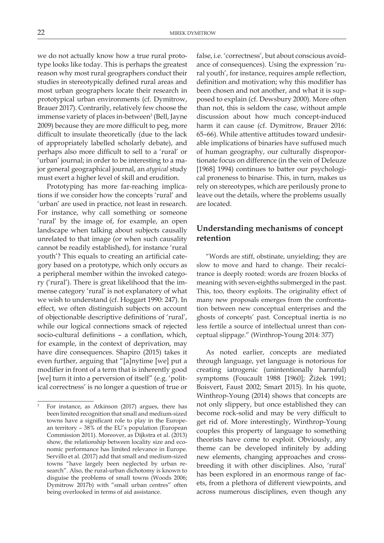we do not actually know how a true rural prototype looks like today. This is perhaps the greatest reason why most rural geographers conduct their studies in stereotypically defined rural areas and most urban geographers locate their research in prototypical urban environments (cf. Dymitrow, Brauer 2017). Contrarily, relatively few choose the immense variety of places in-between<sup>3</sup> (Bell, Jayne 2009) because they are more difficult to peg, more difficult to insulate theoretically (due to the lack of appropriately labelled scholarly debate), and perhaps also more difficult to sell to a 'rural' or 'urban' journal; in order to be interesting to a major general geographical journal, an *atypical* study must exert a higher level of skill and erudition.

Prototyping has more far-reaching implications if we consider how the concepts 'rural' and 'urban' are used in practice, not least in research. For instance, why call something or someone 'rural' by the image of, for example, an open landscape when talking about subjects causally unrelated to that image (or when such causality cannot be readily established), for instance 'rural youth'? This equals to creating an artificial category based on a prototype, which only occurs as a peripheral member within the invoked category ('rural'). There is great likelihood that the immense category 'rural' is not explanatory of what we wish to understand (cf. Hoggart 1990: 247). In effect, we often distinguish subjects on account of objectionable descriptive definitions of 'rural', while our logical connections smack of rejected socio-cultural definitions – a conflation, which, for example, in the context of deprivation, may have dire consequences. Shapiro (2015) takes it even further, arguing that "[a]nytime [we] put a modifier in front of a term that is inherently good [we] turn it into a perversion of itself" (e.g. 'political correctness' is no longer a question of true or false, i.e. 'correctness', but about conscious avoidance of consequences). Using the expression 'rural youth', for instance, requires ample reflection, definition and motivation; why this modifier has been chosen and not another, and what it is supposed to explain (cf. Dewsbury 2000). More often than not, this is seldom the case, without ample discussion about how much concept-induced harm it can cause (cf. Dymitrow, Brauer 2016: 65–66). While attentive attitudes toward undesirable implications of binaries have suffused much of human geography, our culturally disproportionate focus on difference (in the vein of Deleuze [1968] 1994) continues to batter our psychological proneness to binarise. This, in turn, makes us rely on stereotypes, which are perilously prone to leave out the details, where the problems usually are located.

# **Understanding mechanisms of concept retention**

"Words are stiff, obstinate, unyielding; they are slow to move and hard to change. Their recalcitrance is deeply rooted: words are frozen blocks of meaning with seven-eighths submerged in the past. This, too, theory exploits. The originality effect of many new proposals emerges from the confrontation between new conceptual enterprises and the ghosts of concepts' past. Conceptual inertia is no less fertile a source of intellectual unrest than conceptual slippage." (Winthrop-Young 2014: 377)

As noted earlier, concepts are mediated through language, yet language is notorious for creating iatrogenic (unintentionally harmful) symptoms (Foucault 1988 [1960]; Žižek 1991; Boisvert, Faust 2002; Smart 2015). In his quote, Winthrop-Young (2014) shows that concepts are not only slippery, but once established they can become rock-solid and may be very difficult to get rid of. More interestingly, Winthrop-Young couples this property of language to something theorists have come to exploit. Obviously, any theme can be developed infinitely by adding new elements, changing approaches and crossbreeding it with other disciplines. Also, 'rural' has been explored in an enormous range of facets, from a plethora of different viewpoints, and across numerous disciplines, even though any

<sup>3</sup> For instance, as Atkinson (2017) argues, there has been limited recognition that small and medium-sized towns have a significant role to play in the European territory – 38% of the EU's population (European Commission 2011). Moreover, as Dijkstra et al. (2013) show, the relationship between locality size and economic performance has limited relevance in Europe. Servillo et al. (2017) add that small and medium-sized towns "have largely been neglected by urban research". Also, the rural-urban dichotomy is known to disguise the problems of small towns (Woods 2006; Dymitrow 2017b) with "small urban centres" often being overlooked in terms of aid assistance.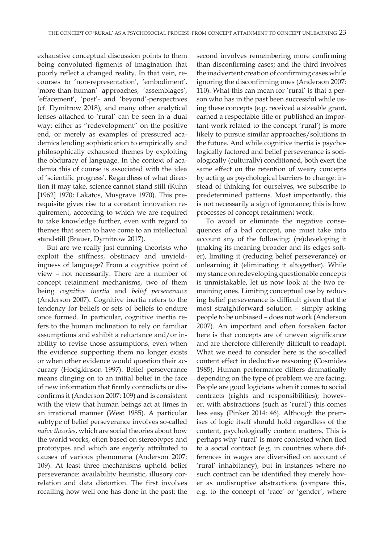exhaustive conceptual discussion points to them being convoluted figments of imagination that poorly reflect a changed reality. In that vein, recourses to 'non-representation', 'embodiment', 'more-than-human' approaches, 'assemblages', 'effacement', 'post'- and 'beyond'-perspectives (cf. Dymitrow 2018), and many other analytical lenses attached to 'rural' can be seen in a dual way: either as "redevelopment" on the positive end, or merely as examples of pressured academics lending sophistication to empirically and philosophically exhausted themes by exploiting the obduracy of language. In the context of academia this of course is associated with the idea of 'scientific progress'. Regardless of what direction it may take, science cannot stand still (Kuhn [1962] 1970; Lakatos, Musgrave 1970). This prerequisite gives rise to a constant innovation requirement, according to which we are required to take knowledge further, even with regard to themes that seem to have come to an intellectual standstill (Brauer, Dymitrow 2017).

But are we really just cunning theorists who exploit the stiffness, obstinacy and unyieldingness of language? From a cognitive point of view – not necessarily. There are a number of concept retainment mechanisms, two of them being *cognitive inertia* and *belief perseverance* (Anderson 2007). Cognitive inertia refers to the tendency for beliefs or sets of beliefs to endure once formed. In particular, cognitive inertia refers to the human inclination to rely on familiar assumptions and exhibit a reluctance and/or inability to revise those assumptions, even when the evidence supporting them no longer exists or when other evidence would question their accuracy (Hodgkinson 1997). Belief perseverance means clinging on to an initial belief in the face of new information that firmly contradicts or disconfirms it (Anderson 2007: 109) and is consistent with the view that human beings act at times in an irrational manner (West 1985). A particular subtype of belief perseverance involves so-called *naïve theories*, which are social theories about how the world works, often based on stereotypes and prototypes and which are eagerly attributed to causes of various phenomena (Anderson 2007: 109). At least three mechanisms uphold belief perseverance: availability heuristic, illusory correlation and data distortion. The first involves recalling how well one has done in the past; the

second involves remembering more confirming than disconfirming cases; and the third involves the inadvertent creation of confirming cases while ignoring the disconfirming ones (Anderson 2007: 110). What this can mean for 'rural' is that a person who has in the past been successful while using these concepts (e.g. received a sizeable grant, earned a respectable title or published an important work related to the concept 'rural') is more likely to pursue similar approaches/solutions in the future. And while cognitive inertia is psychologically factored and belief perseverance is sociologically (culturally) conditioned, both exert the same effect on the retention of weary concepts by acting as psychological barriers to change: instead of thinking for ourselves, we subscribe to predetermined patterns. Most importantly, this is not necessarily a sign of ignorance; this is how processes of concept retainment work.

To avoid or eliminate the negative consequences of a bad concept, one must take into account any of the following: (re)developing it (making its meaning broader and its edges softer), limiting it (reducing belief perseverance) or unlearning it (eliminating it altogether). While my stance on redeveloping questionable concepts is unmistakable, let us now look at the two remaining ones. Limiting conceptual use by reducing belief perseverance is difficult given that the most straightforward solution – simply asking people to be unbiased – does not work (Anderson 2007). An important and often forsaken factor here is that concepts are of uneven significance and are therefore differently difficult to readapt. What we need to consider here is the so-called content effect in deductive reasoning (Cosmides 1985). Human performance differs dramatically depending on the type of problem we are facing. People are good logicians when it comes to social contracts (rights and responsibilities); however, with abstractions (such as 'rural') this comes less easy (Pinker 2014: 46). Although the premises of logic itself should hold regardless of the content, psychologically content matters. This is perhaps why 'rural' is more contested when tied to a social contract (e.g. in countries where differences in wages are diversified on account of 'rural' inhabitancy), but in instances where no such contract can be identified they merely hover as undisruptive abstractions (compare this, e.g. to the concept of 'race' or 'gender', where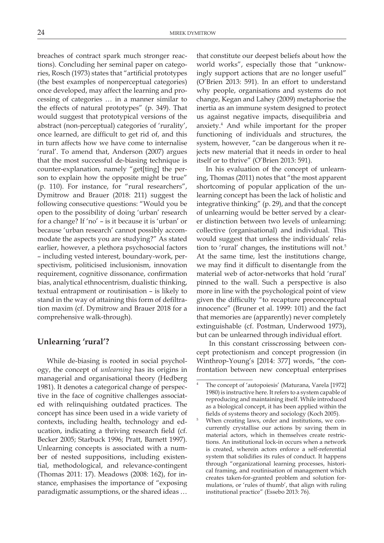breaches of contract spark much stronger reactions). Concluding her seminal paper on categories, Rosch (1973) states that "artificial prototypes (the best examples of nonperceptual categories) once developed, may affect the learning and processing of categories … in a manner similar to the effects of natural prototypes" (p. 349). That would suggest that prototypical versions of the abstract (non-perceptual) categories of 'rurality', once learned, are difficult to get rid of, and this in turn affects how we have come to internalise 'rural'. To amend that, Anderson (2007) argues that the most successful de-biasing technique is counter-explanation*,* namely "get[ting] the person to explain how the opposite might be true" (p. 110). For instance, for "rural researchers", Dymitrow and Brauer (2018: 211) suggest the following consecutive questions: "Would you be open to the possibility of doing 'urban' research for a change? If 'no' – is it because it is 'urban' or because 'urban research' cannot possibly accommodate the aspects you are studying?" As stated earlier, however, a plethora psychosocial factors – including vested interest, boundary-work, perspectivism, politicised inclusionism, innovation requirement, cognitive dissonance, confirmation bias, analytical ethnocentrism, dualistic thinking, textual entrapment or routinisation – is likely to stand in the way of attaining this form of defiltration maxim (cf. Dymitrow and Brauer 2018 for a comprehensive walk-through).

## **Unlearning 'rural'?**

While de-biasing is rooted in social psychology, the concept of *unlearning* has its origins in managerial and organisational theory (Hedberg 1981). It denotes a categorical change of perspective in the face of cognitive challenges associated with relinquishing outdated practices. The concept has since been used in a wide variety of contexts, including health, technology and education, indicating a thriving research field (cf. Becker 2005; Starbuck 1996; Pratt, Barnett 1997). Unlearning concepts is associated with a number of nested suppositions, including existential, methodological, and relevance-contingent (Thomas 2011: 17). Meadows (2008: 162), for instance, emphasises the importance of "exposing paradigmatic assumptions, or the shared ideas …

that constitute our deepest beliefs about how the world works", especially those that "unknowingly support actions that are no longer useful" (O'Brien 2013: 591). In an effort to understand why people, organisations and systems do not change, Kegan and Lahey (2009) metaphorise the inertia as an immune system designed to protect us against negative impacts, disequilibria and anxiety.4 And while important for the proper functioning of individuals and structures, the system, however, "can be dangerous when it rejects new material that it needs in order to heal itself or to thrive" (O'Brien 2013: 591).

In his evaluation of the concept of unlearning, Thomas (2011) notes that "the most apparent shortcoming of popular application of the unlearning concept has been the lack of holistic and integrative thinking" (p. 29), and that the concept of unlearning would be better served by a clearer distinction between two levels of unlearning: collective (organisational) and individual. This would suggest that unless the individuals' relation to 'rural' changes, the institutions will not.<sup>5</sup> At the same time, lest the institutions change, we may find it difficult to disentangle from the material web of actor-networks that hold 'rural' pinned to the wall. Such a perspective is also more in line with the psychological point of view given the difficulty "to recapture preconceptual innocence" (Bruner et al. 1999: 101) and the fact that memories are (apparently) never completely extinguishable (cf. Postman, Underwood 1973), but can be unlearned through individual effort.

 In this constant crisscrossing between concept protectionism and concept progression (in Winthrop-Young's [2014: 377] words, "the confrontation between new conceptual enterprises

The concept of 'autopoiesis' (Maturana, Varela [1972] 1980) is instructive here. It refers to a system capable of reproducing and maintaining itself. While introduced as a biological concept, it has been applied within the fields of systems theory and sociology (Koch 2005).

<sup>5</sup> When creating laws, order and institutions, we concurrently crystallise our actions by saving them in material actors, which in themselves create restrictions. An institutional lock-in occurs when a network is created, wherein actors enforce a self-referential system that solidifies its rules of conduct. It happens through "organizational learning processes, historical framing, and routinisation of management which creates taken-for-granted problem and solution formulations, or 'rules of thumb', that align with ruling institutional practice" (Essebo 2013: 76).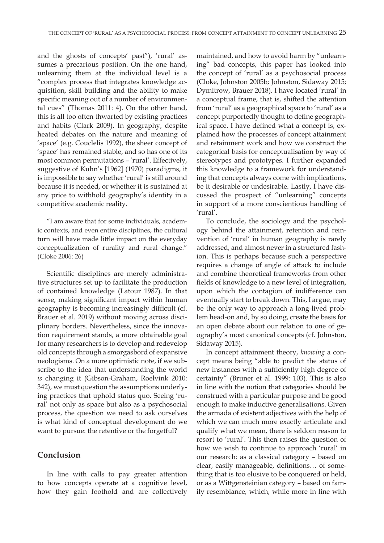and the ghosts of concepts' past"), 'rural' assumes a precarious position. On the one hand, unlearning them at the individual level is a "complex process that integrates knowledge acquisition, skill building and the ability to make specific meaning out of a number of environmental cues" (Thomas 2011: 4). On the other hand, this is all too often thwarted by existing practices and habits (Clark 2009). In geography, despite heated debates on the nature and meaning of 'space' (e.g. Couclelis 1992), the sheer concept of 'space' has remained stable, and so has one of its most common permutations – 'rural'. Effectively, suggestive of Kuhn's [1962] (1970) paradigms, it is impossible to say whether 'rural' is still around because it is needed, or whether it is sustained at any price to withhold geography's identity in a competitive academic reality.

"I am aware that for some individuals, academic contexts, and even entire disciplines, the cultural turn will have made little impact on the everyday conceptualization of rurality and rural change." (Cloke 2006: 26)

Scientific disciplines are merely administrative structures set up to facilitate the production of contained knowledge (Latour 1987). In that sense, making significant impact within human geography is becoming increasingly difficult (cf. Brauer et al. 2019) without moving across disciplinary borders. Nevertheless, since the innovation requirement stands, a more obtainable goal for many researchers is to develop and redevelop old concepts through a smorgasbord of expansive neologisms. On a more optimistic note, if we subscribe to the idea that understanding the world *is* changing it (Gibson-Graham, Roelvink 2010: 342), we must question the assumptions underlying practices that uphold status quo. Seeing 'rural' not only as space but also as a psychosocial process, the question we need to ask ourselves is what kind of conceptual development do we want to pursue: the retentive or the forgetful?

#### **Conclusion**

In line with calls to pay greater attention to how concepts operate at a cognitive level, how they gain foothold and are collectively

maintained, and how to avoid harm by "unlearning" bad concepts, this paper has looked into the concept of 'rural' as a psychosocial process (Cloke, Johnston 2005b; Johnston, Sidaway 2015; Dymitrow, Brauer 2018). I have located 'rural' in a conceptual frame, that is, shifted the attention from 'rural' as a geographical space to 'rural' as a concept purportedly thought to define geographical space. I have defined what a concept is, explained how the processes of concept attainment and retainment work and how we construct the categorical basis for conceptualisation by way of stereotypes and prototypes. I further expanded this knowledge to a framework for understanding that concepts always come with implications, be it desirable or undesirable. Lastly, I have discussed the prospect of "unlearning" concepts in support of a more conscientious handling of 'rural'.

To conclude, the sociology and the psychology behind the attainment, retention and reinvention of 'rural' in human geography is rarely addressed, and almost never in a structured fashion. This is perhaps because such a perspective requires a change of angle of attack to include and combine theoretical frameworks from other fields of knowledge to a new level of integration, upon which the contagion of indifference can eventually start to break down. This, I argue, may be the only way to approach a long-lived problem head-on and, by so doing, create the basis for an open debate about our relation to one of geography's most canonical concepts (cf. Johnston, Sidaway 2015).

In concept attainment theory, *knowing* a concept means being "able to predict the status of new instances with a sufficiently high degree of certainty" (Bruner et al. 1999: 103). This is also in line with the notion that categories should be construed with a particular purpose and be good enough to make inductive generalisations. Given the armada of existent adjectives with the help of which we can much more exactly articulate and qualify what we mean, there is seldom reason to resort to 'rural'. This then raises the question of how we wish to continue to approach 'rural' in our research: as a classical category – based on clear, easily manageable, definitions… of something that is too elusive to be conquered or held, or as a Wittgensteinian category – based on family resemblance, which, while more in line with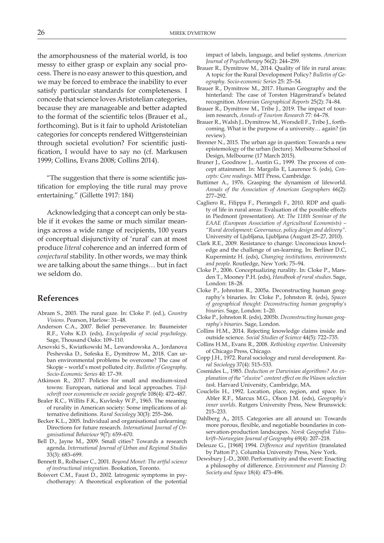the amorphousness of the material world, is too messy to either grasp or explain any social process. There is no easy answer to this question, and we may be forced to embrace the inability to ever satisfy particular standards for completeness. I concede that science loves Aristotelian categories, because they are manageable and better adapted to the format of the scientific telos (Brauer et al., forthcoming). But is it fair to uphold Aristotelian categories for concepts rendered Wittgensteinian through societal evolution? For scientific justification, I would have to say no (cf. Markusen 1999; Collins, Evans 2008; Collins 2014).

"The suggestion that there is some scientific justification for employing the title rural may prove entertaining." (Gillette 1917: 184)

Acknowledging that a concept can only be stable if it evokes the same or much similar meanings across a wide range of recipients, 100 years of conceptual disjunctivity of 'rural' can at most produce *literal* coherence and an inferred form of *conjectural* stability. In other words, we may think we are talking about the same things… but in fact we seldom do.

#### **References**

- Abram S., 2003. The rural gaze. In: Cloke P. (ed.), *Country Visions*. Pearson, Harlow: 31–48.
- Anderson C.A., 2007. Belief perseverance. In: Baumeister R.F., Vohs K.D. (eds), *Encyclopedia of social psychology*. Sage, Thousand Oaks: 109–110.
- Arsovski S., Kwiatkowski M., Lewandowska A., Jordanova Peshevska D., Sofeska E., Dymitrow M., 2018. Can urban environmental problems be overcome? The case of Skopje – world's most polluted city. *Bulletin of Geography. Socio-Economic Series* 40: 17–39.
- Atkinson R., 2017. Policies for small and medium-sized towns: European, national and local approaches. *Tijdschrift voor economische en sociale geografie* 108(4): 472–487.
- Bealer R.C., Willits F.K., Kuvlesky W.P., 1965. The meaning of rurality in American society: Some implications of alternative definitions. *Rural Sociology* 30(3): 255–266.
- Becker K.L., 2005. Individual and organisational unlearning: Directions for future research. *International Journal of Organisational Behaviour* 9(7): 659–670.
- Bell D., Jayne M., 2009. Small cities? Towards a research agenda. *International Journal of Urban and Regional Studies* 33(3): 683–699.
- Bennett B., Rolheiser C., 2001. *Beyond Monet: The artful science of instructional integration.* Bookation, Toronto.
- Boisvert C.M., Faust D., 2002. Iatrogenic symptoms in psychotherapy: A theoretical exploration of the potential

impact of labels, language, and belief systems. *American Journal of Psychotherapy* 56(2): 244–259.

- Brauer R., Dymitrow M., 2014. Quality of life in rural areas: A topic for the Rural Development Policy? *Bulletin of Geography. Socio-economic Series* 25: 25–54.
- Brauer R., Dymitrow M., 2017. Human Geography and the hinterland: The case of Torsten Hägerstrand's belated recognition. *Moravian Geographical Reports* 25(2): 74–84.
- Brauer R., Dymitrow M., Tribe J., 2019. The impact of tourism research, *Annals of Tourism Research* 77: 64–78.
- Brauer R., Walsh J., Dymitrow M., Worsdell F., Tribe J., forthcoming. What is the purpose of a university… again? (in review).
- Brenner N., 2015. The urban age in question: Towards a new epistemology of the urban (lecture). Melbourne School of Design, Melbourne (17 March 2015).
- Bruner J., Goodnow J., Austin G., 1999. The process of concept attainment. In: Margolis E, Laurence S. (eds), *Concepts: Core readings*. MIT Press, Cambridge.
- Buttimer A., 1976. Grasping the dynamism of lifeworld. *Annals of the Association of American Geographers* 66(2): 277–292.
- Cagliero R., Filippa F., Pierangeli F., 2010. RDP and quality of life in rural areas: Evaluation of the possible effects in Piedmont (presentation). At: *The 118th Seminar of the EAAE (European Association of Agricultural Economists) – "Rural development: Governance, policy design and delivery"*. University of Ljubljana, Ljubljana (August 25–27, 2010).
- Clark R.E., 2009. Resistance to change: Unconscious knowledge and the challenge of un-learning. In: Berliner D.C, Kupermintz H. (eds), *Changing institutions, environments and people*. Routledge, New York: 75–94.
- Cloke P., 2006. Conceptualizing rurality. In: Cloke P., Marsden T., Mooney P.H. (eds), *Handbook of rural studies*. Sage, London: 18–28.
- Cloke P., Johnston R., 2005a. Deconstructing human geography's binaries. In: Cloke P., Johnston R. (eds), *Spaces of geographical thought: Deconstructing human geography's binaries*. Sage, London: 1–20.
- Cloke P., Johnston R. (eds), 2005b. *Deconstructing human geography's binaries.* Sage, London.
- Collins H.M., 2014. Rejecting knowledge claims inside and outside science. *Social Studies of Science* 44(5): 722–735.
- Collins H.M., Evans R., 2008. *Rethinking expertise*. University of Chicago Press, Chicago.
- Copp J.H., 1972. Rural sociology and rural development. *Rural Sociology* 37(4): 515–533.
- Cosmides L., 1985. *Deduction or Darwinian algorithms? An explanation of the "elusive" content effect on the Wason selection task*. Harvard University, Cambridge, MA.
- Couclelis H., 1992. Location, place, region, and space. In: Abler R.F., Marcus M.G., Olson J.M. (eds), *Geography's inner worlds*. Rutgers University Press, New Brunswick: 215–233.
- Dahlberg A., 2015. Categories are all around us: Towards more porous, flexible, and negotiable boundaries in conservation-production landscapes. *Norsk Geografisk Tidsskrift*–*Norwegian Journal of Geography* 69(4): 207–218.
- Deleuze G., [1968] 1994. *Difference and repetition* (translated by Patton P.). Columbia University Press, New York.
- Dewsbury J.-D., 2000. Performativity and the event: Enacting a philosophy of difference. *Environment and Planning D: Society and Space* 18(4): 473–496.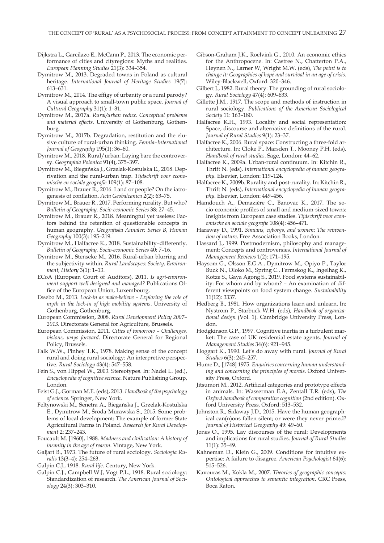- Dijkstra L., Garcilazo E., McCann P., 2013. The economic performance of cities and cityregions: Myths and realities. *European Planning Studies* 21(3): 334–354.
- Dymitrow M., 2013. Degraded towns in Poland as cultural heritage. *International Journal of Heritage Studies* 19(7): 613–631.
- Dymitrow M., 2014. The effigy of urbanity or a rural parody? A visual approach to small-town public space. *Journal of Cultural Geography* 31(1): 1–31.
- Dymitrow M., 2017a. *Rural/urban redux. Conceptual problems and material effects*. University of Gothenburg, Gothenburg.
- Dymitrow M., 2017b. Degradation, restitution and the elusive culture of rural-urban thinking. *Fennia–International Journal of Geography* 195(1): 36–60.
- Dymitrow M., 2018. Rural/urban: Laying bare the controversy. *Geographia Polonica* 91(4), 375–397.
- Dymitrow M., Biegańska J., Grzelak-Kostulska E., 2018. Deprivation and the rural-urban trap. *Tijdschrift voor economische en sociale geografie* 109(1): 87–108.
- Dymitrow M., Brauer R., 2016. Land or people? On the iatrogenesis of conflation. *Acta Geobalcanica* 2(2): 63–75.
- Dymitrow M., Brauer R., 2017. Performing rurality. But who? *Bulletin of Geography. Socio-economic Series* 38: 27–45.
- Dymitrow M., Brauer R., 2018. Meaningful yet useless: Factors behind the retention of questionable concepts in human geography. *Geografiska Annaler: Series B, Human Geography* 100(3): 195–219.
- Dymitrow M., Halfacree K., 2018. Sustainability–differently. *Bulletin of Geography. Socio-economic Series* 40: 7–16.
- Dymitrow M., Stenseke M., 2016. Rural-urban blurring and the subjectivity within. *Rural Landscapes: Society, Environment, History* 3(1): 1–13.
- ECoA (European Court of Auditors), 2011. *Is agri-environment support well designed and managed?* Publications Office of the European Union, Luxembourg.
- Essebo M., 2013. *Lock-in as make-believe Exploring the role of myth in the lock-in of high mobility systems*. University of Gothenburg, Gothenburg.
- European Commission, 2008. *Rural Development Policy 2007– 2013.* Directorate General for Agriculture, Brussels.
- European Commission, 2011. *Cities of tomorrow Challenges, visions, ways forward*. Directorate General for Regional Policy, Brussels.
- Falk W.W., Pinhey T.K., 1978. Making sense of the concept rural and doing rural sociology: An interpretive perspective. *Rural Sociology* 43(4): 547–558.
- Fein S., von Hippel W., 2003. Stereotypes. In: Nadel L. (ed.), *Encyclopedia of cognitive science*. Nature Publishing Group, London.
- Feist G.J., Gorman M.E. (eds), 2013. *Handbook of the psychology of science*. Springer, New York.
- Feltynowski M., Senetra A., Biegańska J., Grzelak-Kostulska E., Dymitrow M., Środa-Murawska S., 2015. Some problems of local development: The example of former State Agricultural Farms in Poland. *Research for Rural Development* 2: 237–243.
- Foucault M. [1960], 1988. *Madness and civilization: A history of insanity in the age of reason*. Vintage, New York.
- Galjart B., 1973. The future of rural sociology. *Sociologia Ruralis* 13(3–4): 254–263.
- Galpin C.J., 1918. *Rural life*. Century, New York.
- Galpin C.J., Campbell W.J, Vogt P.L., 1918. Rural sociology: Standardization of research. *The American Journal of Sociology* 24(3): 303–310.
- Gibson-Graham J.K., Roelvink G., 2010. An economic ethics for the Anthropocene. In: Castree N., Chatterton P.A., Heynen N., Larner W, Wright M.W. (eds), *The point is to change it: Geographies of hope and survival in an age of crisis*. Wiley-Blackwell, Oxford: 320–346.
- Gilbert J., 1982. Rural theory: The grounding of rural sociology. *Rural Sociology* 47(4): 609–633.
- Gillette J.M., 1917. The scope and methods of instruction in rural sociology. *Publications of the American Sociological Society* 11: 163–180.
- Halfacree K.H., 1993. Locality and social representation: Space, discourse and alternative definitions of the rural. *Journal of Rural Studies* 9(1): 23–37.
- Halfacree K., 2006. Rural space: Constructing a three-fold architecture. In: Cloke P., Marsden T., Mooney P.H. (eds), *Handbook of rural studies*. Sage, London: 44–62.
- Halfacree K., 2009a. Urban-rural continuum. In: Kitchin R., Thrift N. (eds), *International encyclopedia of human geography*. Elsevier, London: 119–124.
- Halfacree K., 2009b. Rurality and post-rurality. In: Kitchin R., Thrift N. (eds), *International encyclopedia of human geography*. Elsevier, London: 449–456.
- Hamdouch A., Demazière C., Banovac K., 2017. The socio-economic profiles of small and medium-sized towns: Insights from European case studies. *Tijdschrift voor economische en sociale geografie* 108(4): 456–471.
- Haraway D., 1991. *Simians, cyborgs, and women: The reinvention of nature*. Free Association Books, London.
- Hassard J., 1999. Postmodernism, philosophy and management: Concepts and controversies. *International Journal of Management Reviews* 1(2): 171–195.
- Haysom G., Olsson E.G.A., Dymitrow M., Opiyo P., Taylor Buck N., Oloko M., Spring C., Fermskog K., Ingelhag K., Kotze S., Gaya Agong S., 2019. Food systems sustainability: For whom and by whom? – An examination of different viewpoints on food system change. *Sustainability* 11(12): 3337.
- Hedberg B., 1981. How organizations learn and unlearn. In: Nystrom P., Starbuck W.H. (eds), *Handbook of organizational design* (Vol. 1). Cambridge University Press, London.
- Hodgkinson G.P., 1997. Cognitive inertia in a turbulent market: The case of UK residential estate agents. *Journal of Management Studies* 34(6): 921–945.
- Hoggart K., 1990. Let's do away with rural. *Journal of Rural Studies* 6(3): 245–257.
- Hume D., [1748] 1975. *Enquiries concerning human understanding and concerning the principles of morals*. Oxford University Press, Oxford.
- Jitsumori M., 2012. Artificial categories and prototype effects in animals. In: Wasserman E.A, Zentall T.R. (eds), *The Oxford handbook of comparative cognition* (2nd edition). Oxford University Press, Oxford: 513–532.
- Johnston R., Sidaway J.D., 2015. Have the human geographical can(n)ons fallen silent; or were they never primed? *Journal of Historical Geography* 49: 49–60.
- Jones O., 1995. Lay discourses of the rural: Developments and implications for rural studies. *Journal of Rural Studies* 11(1): 35–49.
- Kahneman D., Klein G., 2009. Conditions for intuitive expertise: A failure to disagree. *American Psychologist* 64(6): 515–526.
- Kavouras M., Kokla M., 2007. *Theories of geographic concepts: Ontological approaches to semantic integration*. CRC Press, Boca Raton.